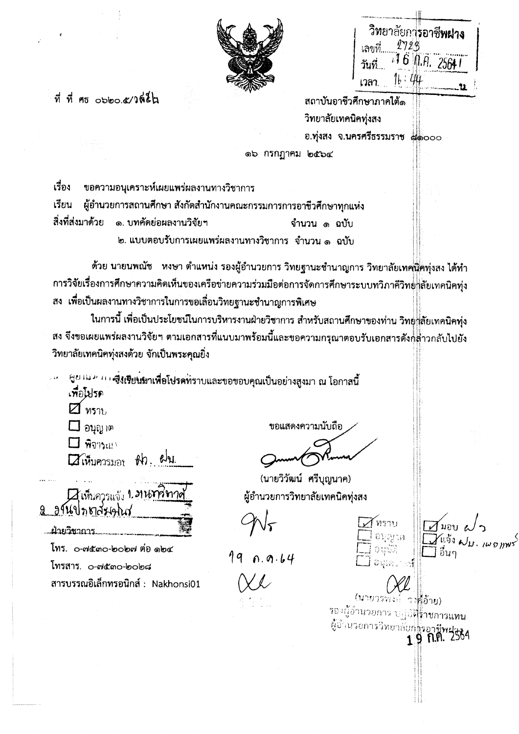|        | วิทยาลัยการอาชี <b>พผ่าง</b> |  |
|--------|------------------------------|--|
| เลขที่ | 1729                         |  |
| วันที่ | 16 机用 25641                  |  |
| เวลา   |                              |  |

 $\Delta$ HOU a

รองผู้อำนวยการ บฏิบัติ<mark>ร้าชการแทน</mark>

ซีซีรันวยการวิทยาลัยกรรด**รีพฝาร**<br>1.9 ก.ศ. 2564



## $\vec{v}$   $\vec{v}$  as obto  $\alpha/2$

สถาบันอาชีวศึกษาภาคใต้ด วิทยาลัยเทคนิคทุ่งสง อ.ทุ่งสง จ.นครศรีธรรมราช ๘๑๐๐๐

ดอ กรกฎาคม ๒๕๖๔

เรื่อง ีขอความอนุเคราะห์เผยแพร่ผลงานทางวิชาการ

เรียน ผู้อำนวยการสถานศึกษา สังกัดสำนักงานคณะกรรมการการอาชีวศึกษาทุกแห่ง สิ่งที่ส่งมาด้วย ึด. บทคัดย่อผลงานวิจัยฯ

จำนวน ๑ ฉบับ

๒. แบบตอบรับการเผยแพร่ผลงานทางวิชาการ จำนวน ๑ อุบับ

ด้วย นายนพณัช หงษา ตำแหน่ง รองผู้อำนวยการ วิทยฐานะชำนาญการ วิทยาลัยเทคนิคทุ่งสง ได้ทำ การวิจัยเรื่องการศึกษาความคิดเห็นของเครือข่ายความร่วมมือต่อการจัดการศึกษาระบบทวิภาคีวิทย์||ลัยเทคนิคทุ่ง สง เพื่อเป็นผลงานทางวิชาการในการขอเลื่อนวิทยฐานะซำนาญการพิเศษ

ในการนี้ เพื่อเป็นประโยชน์ในการบริหารงานฝ่ายวิชาการ สำหรับสถานศึกษาของท่าน วิทยุ่ $\frac{1}{1}$ ลัยเทคนิคทุ่ง สง จึงขอเผยแพร่ผลงานวิจัยฯ ตามเอกสารที่แนบมาพร้อมนี้และขอความกรุณาตอบรับเอกสารดังกล้าวกลับไปยัง วิทยาลัยเทคนิคทุ่งสงด้วย จักเป็นพระคุณยิ่ง

์ สูย เม*่า (*) เ**สิ่งเรียนมาเพื่อโปรดท**์ราบและขอขอบคุณเป็นอย่างสูงมา ณ โอกาสนี้ เพื่อโปรค

 $\mathbb Z$   $_{\mathfrak{B}31}$ 

 $\Box$  อนุญาต

 $\square$  พิจารณา

 $th.$  $ellu$ **Z** เห็นควรมอบ

Aเห็นควรแจ้ง 1. 21 <u>หาวิชาวด</u>่ 2 อุปเปทยสมุน ... ฝ่ายวิชาการ..

โทร. ๐-๗๕๓๐-๒๐๒๗ ต่อ ๑๒๔ โทรสาร. ๐-๗๕๓๐-๒๐๒๘ สารบรรณอิเล็กทรอนิกส์ : Nakhonsi01 ขอแสดงความนับถือ

(นายวิวัฒน์ ศรีบุญนาค) ผู้อำนวยการวิทยาลัยเทคนิคทุ่งสง

19 0.9.64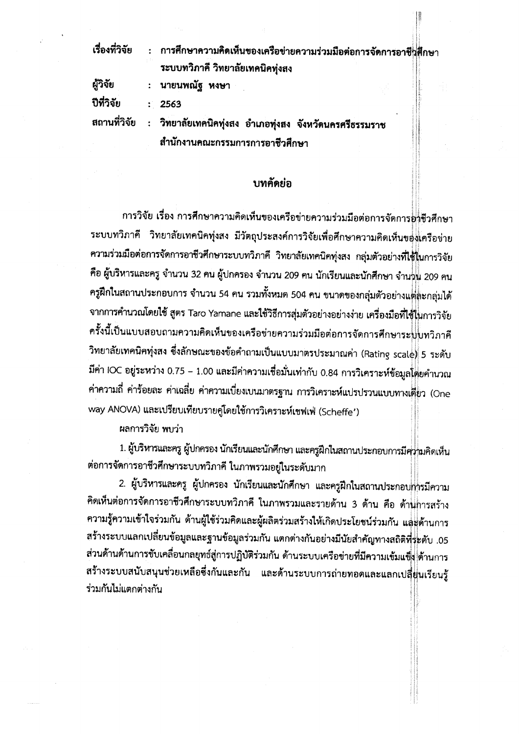| เรื่องที่วิจัย | : การศึกษาความคิดเห็นของเครือข่ายความร่วมมือต่อการจัดการอาชีพสึกษา   |  |
|----------------|----------------------------------------------------------------------|--|
|                | ระบบทวิภาคี วิทยาลัยเทคนิคทุ่งสง                                     |  |
| ผู้วิจัย       | : นายนพณัฐ หงษา                                                      |  |
| ปีที่วิจัย     | : 2563                                                               |  |
|                | สถานที่วิจัย : วิทยาลัยเทคนิคทุ่งสง อำเภอทุ่งสง จังหวัดนครศรีธรรมราช |  |
|                | สำนักงานคณะกรรมการการอาชีวศึกษา                                      |  |

## บทคัดย่อ

การวิจัย เรื่อง การศึกษาความคิดเห็นของเครือข่ายความร่วมมือต่อการจัดการอ่าชีวศึกษา ระบบทวิภาคี วิทยาลัยเทคนิคทุ่งสง มีวัตถุประสงค์การวิจัยเพื่อศึกษาความคิดเห็นของเครือข่าย ความร่วมมือต่อการจัดการอาชีวศึกษาระบบทวิภาคี วิทยาลัยเทคนิคทุ่งสง กลุ่มตัวอย่างที่ใช้ในการวิจัย คือ ผู้บริหารและครู จำนวน 32 คน ผู้ปกครอง จำนวน 209 คน นักเรียนและนักศึกษา จำนวน 209 คน ครูฝึกในสถานประกอบการ จำนวน 54 คน รวมทั้งหมด 504 คน ขนาดของกลุ่มตัวอย่างแต่ละกลุ่มได้ จากการคำนวณโดยใช้ สูตร Taro Yamane และใช้วิธีการสุ่มตัวอย่างอย่างง่าย เครื่องมือที่ใช้ในการวิจัย ครั้งนี้เป็นแบบสอบถามความคิดเห็นของเครือข่ายความร่วมมือต่อการจัดการศึกษาระปปู่เทวิภาคี วิทยาลัยเทคนิคทุ่งสง ซึ่งลักษณะของข้อคำถามเป็นแบบมาตรประมาณค่า (Rating scale) 5 ระดับ มีค่า IOC อยู่ระหว่าง 0.75 – 1.00 และมีค่าความเชื่อมั่นเท่ากับ 0.84 การวิเคราะห์ข้อมูลโตยคำนวณ ค่าความถี่ ค่าร้อยละ ค่าเฉลี่ย ค่าความเบี่ยงเบนมาตรฐาน การวิเคราะห์แปรปรวนแบบทางเดียว (One way ANOVA) และเปรียบเทียบรายคู่โดยใช้การวิเคราะห์เซฟเฟ่ (Scheffe')

ผลการวิจัย พบว่า

1. ผู้บริหารและครู ผู้ปกครอง นักเรียนและนักศึกษา และครูฝึกในสถานประกอบการมีคุ่}ขมคิดเห็น ต่อการจัดการอาชีวศึกษาระบบทวิภาคี ในภาพรวมอยู่ในระดับมาก

2. ผู้บริหารและครู ผู้ปกครอง นักเรียนและนักศึกษา และครูฝึกในสถานประกอบก่ารมีความ คิดเห็นต่อการจัดการอาชีวศึกษาระบบทวิภาคี ในภาพรวมและรายด้าน 3 ด้าน คือ ด้านการสร้าง ความรู้ความเข้าใจร่วมกัน ด้านผู้ใช้ร่วมคิดและผู้ผลิตร่วมสร้างให้เกิดประโยชน์ร่วมกัน แล่ะด้านการ สร้างระบบแลกเปลี่ยนข้อมูลและฐานข้อมูลร่วมกัน แตกต่างกันอย่างมีนัยสำคัญทางสถิติที่ระดับ .05 ส่วนด้านด้านการขับเคลื่อนกลยุทธ์สู่การปฏิบัติร่วมกัน ด้านระบบเครือข่ายที่มีความเข้มแข็ง ด้านการ สร้างระบบสนับสนุนช่วยเหลือซึ่งกันและกัน และด้านระบบการถ่ายทอดและแลกเปลี่ยุ่นเรียนรู้ ร่วมกันไม่แตกต่างกับ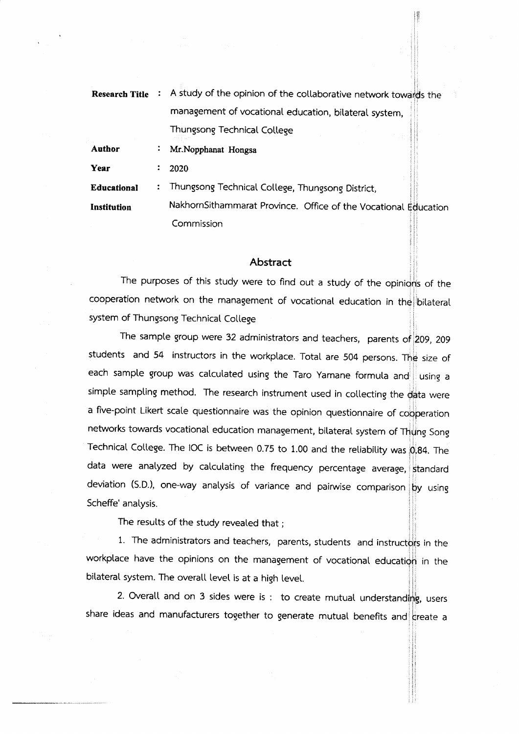**Research Title** : A study of the opinion of the collaborative network towards the management of vocational education, bitateral system, Thungsong Technical College

Author  $\ddot{\bullet}$ Mr.Nopphanat Hongsa

Year 2020  $\mathbb{Z}^{\mathbb{Z}}$ 

: Thungsong Technical College, Thungsong District, **Educational** 

NakhornSithammarat Province. Office of the Vocational Commission Institution

## **Abstract**

The purposes of this study were to find out a study of the opinions of the cooperation network on the management of vocational education in the bilateral system of Thungsong Technical College

The sample group were 32 administrators and teachers, parents of  $209$ , 209  $\,$ students and 54 instructors in the workplace. Total are 504 persons. The size of each sample group was calculated using the Taro Yamane formula and using a simple sampling method. The research instrument used in collecting the  $\frac{1}{10}$  were a five-point Likert scale questionnaire was the opinion questionnaire of cooperation networks towards vocational education management, bilateral system of Thung Song Technical College. The IOC is between 0.75 to 1.00 and the reliability was  $0.84$ . The data were analyzed by calculating the frequency percentage average, standard deviation (S.D.), one-way analysis of variance and pairwise comparison  $\big|\mathbf{p}\big|$ y using Scheffe' analysis.

The results of the study revealed that;

1. The administrators and teachers, parents, students and instructors in the workplace have the opinions on the management of vocational education in the bilateral system. The overall level is at a high level.

2. Overall and on 3 sides were is : to create mutual understanding, users share ideas and manufacturers together to generate mutual benefits and create a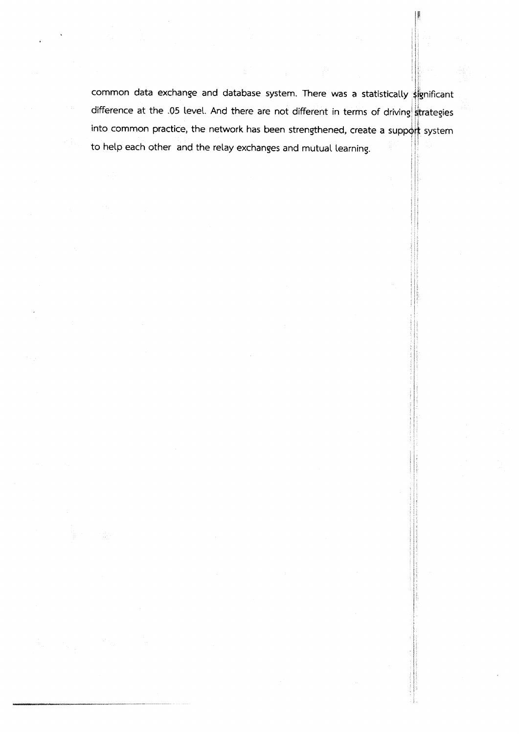common data exchange and database system. There was a statistically spnificant difference at the .05 level. And there are not different in terms of driving strategies into common practice, the network has been strengthened, create a support system to help each other and the relay exchanges and mutual learning.